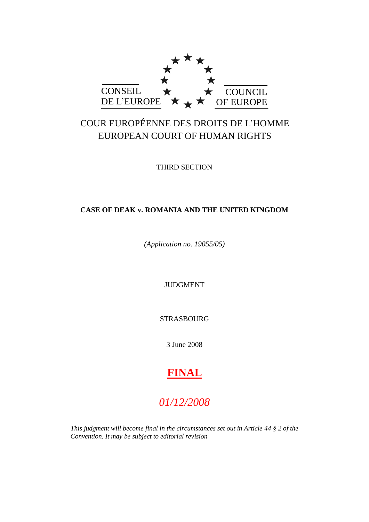

# COUR EUROPÉENNE DES DROITS DE L'HOMME EUROPEAN COURT OF HUMAN RIGHTS

THIRD SECTION

## **CASE OF DEAK v. ROMANIA AND THE UNITED KINGDOM**

*(Application no. 19055/05)*

JUDGMENT

STRASBOURG

3 June 2008

# **FINAL**

# *01/12/2008*

*This judgment will become final in the circumstances set out in Article 44 § 2 of the Convention. It may be subject to editorial revision*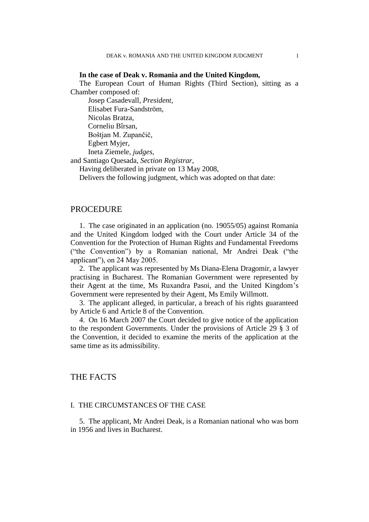## **In the case of Deak v. Romania and the United Kingdom,**

The European Court of Human Rights (Third Section), sitting as a Chamber composed of:

Josep Casadevall, *President,* Elisabet Fura-Sandström, Nicolas Bratza, Corneliu Bîrsan, Boštjan M. Zupančič, Egbert Myjer, Ineta Ziemele, *judges,*

and Santiago Quesada, *Section Registrar*,

Having deliberated in private on 13 May 2008,

Delivers the following judgment, which was adopted on that date:

## PROCEDURE

1. The case originated in an application (no. 19055/05) against Romania and the United Kingdom lodged with the Court under Article 34 of the Convention for the Protection of Human Rights and Fundamental Freedoms ("the Convention") by a Romanian national, Mr Andrei Deak ("the applicant"), on 24 May 2005.

2. The applicant was represented by Ms Diana-Elena Dragomir, a lawyer practising in Bucharest. The Romanian Government were represented by their Agent at the time, Ms Ruxandra Pasoi, and the United Kingdom's Government were represented by their Agent, Ms Emily Willmott.

3. The applicant alleged, in particular, a breach of his rights guaranteed by Article 6 and Article 8 of the Convention.

4. On 16 March 2007 the Court decided to give notice of the application to the respondent Governments. Under the provisions of Article 29 § 3 of the Convention, it decided to examine the merits of the application at the same time as its admissibility.

## THE FACTS

## I. THE CIRCUMSTANCES OF THE CASE

5. The applicant, Mr Andrei Deak, is a Romanian national who was born in 1956 and lives in Bucharest.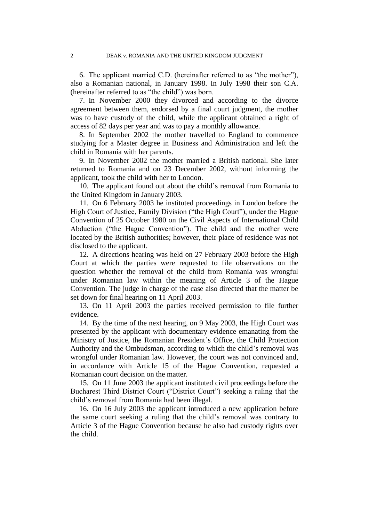6. The applicant married C.D. (hereinafter referred to as "the mother"), also a Romanian national, in January 1998. In July 1998 their son C.A. (hereinafter referred to as "the child") was born.

7. In November 2000 they divorced and according to the divorce agreement between them, endorsed by a final court judgment, the mother was to have custody of the child, while the applicant obtained a right of access of 82 days per year and was to pay a monthly allowance.

8. In September 2002 the mother travelled to England to commence studying for a Master degree in Business and Administration and left the child in Romania with her parents.

9. In November 2002 the mother married a British national. She later returned to Romania and on 23 December 2002, without informing the applicant, took the child with her to London.

10. The applicant found out about the child's removal from Romania to the United Kingdom in January 2003.

11. On 6 February 2003 he instituted proceedings in London before the High Court of Justice, Family Division ("the High Court"), under the Hague Convention of 25 October 1980 on the Civil Aspects of International Child Abduction ("the Hague Convention"). The child and the mother were located by the British authorities; however, their place of residence was not disclosed to the applicant.

12. A directions hearing was held on 27 February 2003 before the High Court at which the parties were requested to file observations on the question whether the removal of the child from Romania was wrongful under Romanian law within the meaning of Article 3 of the Hague Convention. The judge in charge of the case also directed that the matter be set down for final hearing on 11 April 2003.

13. On 11 April 2003 the parties received permission to file further evidence.

14. By the time of the next hearing, on 9 May 2003, the High Court was presented by the applicant with documentary evidence emanating from the Ministry of Justice, the Romanian President's Office, the Child Protection Authority and the Ombudsman, according to which the child's removal was wrongful under Romanian law. However, the court was not convinced and, in accordance with Article 15 of the Hague Convention, requested a Romanian court decision on the matter.

15. On 11 June 2003 the applicant instituted civil proceedings before the Bucharest Third District Court ("District Court") seeking a ruling that the child's removal from Romania had been illegal.

16. On 16 July 2003 the applicant introduced a new application before the same court seeking a ruling that the child's removal was contrary to Article 3 of the Hague Convention because he also had custody rights over the child.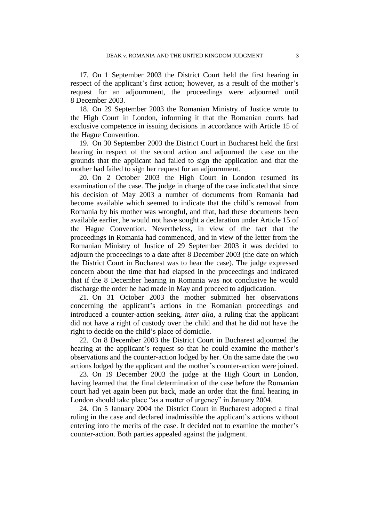17. On 1 September 2003 the District Court held the first hearing in respect of the applicant's first action; however, as a result of the mother's request for an adjournment, the proceedings were adjourned until 8 December 2003.

18. On 29 September 2003 the Romanian Ministry of Justice wrote to the High Court in London, informing it that the Romanian courts had exclusive competence in issuing decisions in accordance with Article 15 of the Hague Convention.

19. On 30 September 2003 the District Court in Bucharest held the first hearing in respect of the second action and adjourned the case on the grounds that the applicant had failed to sign the application and that the mother had failed to sign her request for an adjournment.

20. On 2 October 2003 the High Court in London resumed its examination of the case. The judge in charge of the case indicated that since his decision of May 2003 a number of documents from Romania had become available which seemed to indicate that the child's removal from Romania by his mother was wrongful, and that, had these documents been available earlier, he would not have sought a declaration under Article 15 of the Hague Convention. Nevertheless, in view of the fact that the proceedings in Romania had commenced, and in view of the letter from the Romanian Ministry of Justice of 29 September 2003 it was decided to adjourn the proceedings to a date after 8 December 2003 (the date on which the District Court in Bucharest was to hear the case). The judge expressed concern about the time that had elapsed in the proceedings and indicated that if the 8 December hearing in Romania was not conclusive he would discharge the order he had made in May and proceed to adjudication.

21. On 31 October 2003 the mother submitted her observations concerning the applicant's actions in the Romanian proceedings and introduced a counter-action seeking, *inter alia*, a ruling that the applicant did not have a right of custody over the child and that he did not have the right to decide on the child's place of domicile.

22. On 8 December 2003 the District Court in Bucharest adjourned the hearing at the applicant's request so that he could examine the mother's observations and the counter-action lodged by her. On the same date the two actions lodged by the applicant and the mother's counter-action were joined.

23. On 19 December 2003 the judge at the High Court in London, having learned that the final determination of the case before the Romanian court had yet again been put back, made an order that the final hearing in London should take place "as a matter of urgency" in January 2004.

24. On 5 January 2004 the District Court in Bucharest adopted a final ruling in the case and declared inadmissible the applicant's actions without entering into the merits of the case. It decided not to examine the mother's counter-action. Both parties appealed against the judgment.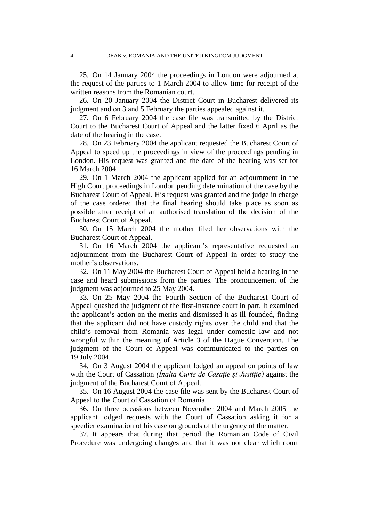25. On 14 January 2004 the proceedings in London were adjourned at the request of the parties to 1 March 2004 to allow time for receipt of the written reasons from the Romanian court.

26. On 20 January 2004 the District Court in Bucharest delivered its judgment and on 3 and 5 February the parties appealed against it.

27. On 6 February 2004 the case file was transmitted by the District Court to the Bucharest Court of Appeal and the latter fixed 6 April as the date of the hearing in the case.

28. On 23 February 2004 the applicant requested the Bucharest Court of Appeal to speed up the proceedings in view of the proceedings pending in London. His request was granted and the date of the hearing was set for 16 March 2004.

29. On 1 March 2004 the applicant applied for an adjournment in the High Court proceedings in London pending determination of the case by the Bucharest Court of Appeal. His request was granted and the judge in charge of the case ordered that the final hearing should take place as soon as possible after receipt of an authorised translation of the decision of the Bucharest Court of Appeal.

30. On 15 March 2004 the mother filed her observations with the Bucharest Court of Appeal.

31. On 16 March 2004 the applicant's representative requested an adjournment from the Bucharest Court of Appeal in order to study the mother's observations.

32. On 11 May 2004 the Bucharest Court of Appeal held a hearing in the case and heard submissions from the parties. The pronouncement of the judgment was adjourned to 25 May 2004.

33. On 25 May 2004 the Fourth Section of the Bucharest Court of Appeal quashed the judgment of the first-instance court in part. It examined the applicant's action on the merits and dismissed it as ill-founded, finding that the applicant did not have custody rights over the child and that the child's removal from Romania was legal under domestic law and not wrongful within the meaning of Article 3 of the Hague Convention. The judgment of the Court of Appeal was communicated to the parties on 19 July 2004.

34. On 3 August 2004 the applicant lodged an appeal on points of law with the Court of Cassation *(Înalta Curte de Casaţie şi Justiţie)* against the judgment of the Bucharest Court of Appeal.

35. On 16 August 2004 the case file was sent by the Bucharest Court of Appeal to the Court of Cassation of Romania.

36. On three occasions between November 2004 and March 2005 the applicant lodged requests with the Court of Cassation asking it for a speedier examination of his case on grounds of the urgency of the matter.

37. It appears that during that period the Romanian Code of Civil Procedure was undergoing changes and that it was not clear which court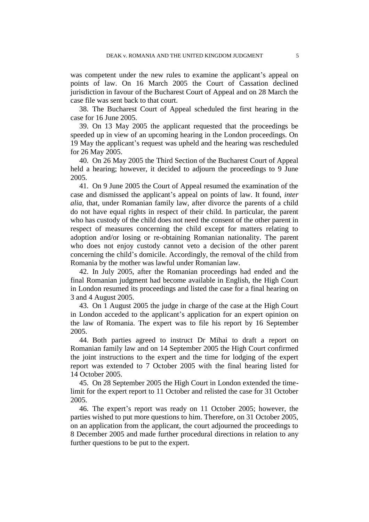was competent under the new rules to examine the applicant's appeal on points of law. On 16 March 2005 the Court of Cassation declined jurisdiction in favour of the Bucharest Court of Appeal and on 28 March the case file was sent back to that court.

38. The Bucharest Court of Appeal scheduled the first hearing in the case for 16 June 2005.

39. On 13 May 2005 the applicant requested that the proceedings be speeded up in view of an upcoming hearing in the London proceedings. On 19 May the applicant's request was upheld and the hearing was rescheduled for 26 May 2005.

40. On 26 May 2005 the Third Section of the Bucharest Court of Appeal held a hearing; however, it decided to adjourn the proceedings to 9 June 2005.

41. On 9 June 2005 the Court of Appeal resumed the examination of the case and dismissed the applicant's appeal on points of law. It found, *inter alia*, that, under Romanian family law, after divorce the parents of a child do not have equal rights in respect of their child. In particular, the parent who has custody of the child does not need the consent of the other parent in respect of measures concerning the child except for matters relating to adoption and/or losing or re-obtaining Romanian nationality. The parent who does not enjoy custody cannot veto a decision of the other parent concerning the child's domicile. Accordingly, the removal of the child from Romania by the mother was lawful under Romanian law.

42. In July 2005, after the Romanian proceedings had ended and the final Romanian judgment had become available in English, the High Court in London resumed its proceedings and listed the case for a final hearing on 3 and 4 August 2005.

43. On 1 August 2005 the judge in charge of the case at the High Court in London acceded to the applicant's application for an expert opinion on the law of Romania. The expert was to file his report by 16 September 2005.

44. Both parties agreed to instruct Dr Mihai to draft a report on Romanian family law and on 14 September 2005 the High Court confirmed the joint instructions to the expert and the time for lodging of the expert report was extended to 7 October 2005 with the final hearing listed for 14 October 2005.

45. On 28 September 2005 the High Court in London extended the timelimit for the expert report to 11 October and relisted the case for 31 October 2005.

46. The expert's report was ready on 11 October 2005; however, the parties wished to put more questions to him. Therefore, on 31 October 2005, on an application from the applicant, the court adjourned the proceedings to 8 December 2005 and made further procedural directions in relation to any further questions to be put to the expert.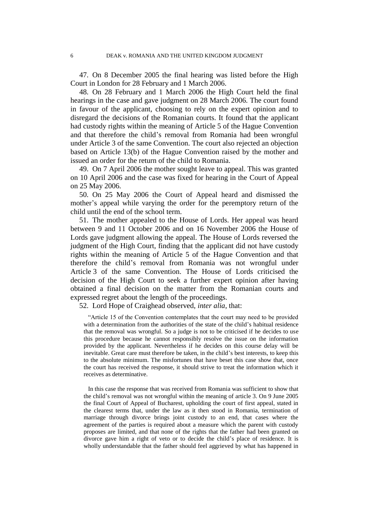47. On 8 December 2005 the final hearing was listed before the High Court in London for 28 February and 1 March 2006.

48. On 28 February and 1 March 2006 the High Court held the final hearings in the case and gave judgment on 28 March 2006. The court found in favour of the applicant, choosing to rely on the expert opinion and to disregard the decisions of the Romanian courts. It found that the applicant had custody rights within the meaning of Article 5 of the Hague Convention and that therefore the child's removal from Romania had been wrongful under Article 3 of the same Convention. The court also rejected an objection based on Article 13(b) of the Hague Convention raised by the mother and issued an order for the return of the child to Romania.

49. On 7 April 2006 the mother sought leave to appeal. This was granted on 10 April 2006 and the case was fixed for hearing in the Court of Appeal on 25 May 2006.

50. On 25 May 2006 the Court of Appeal heard and dismissed the mother's appeal while varying the order for the peremptory return of the child until the end of the school term.

51. The mother appealed to the House of Lords. Her appeal was heard between 9 and 11 October 2006 and on 16 November 2006 the House of Lords gave judgment allowing the appeal. The House of Lords reversed the judgment of the High Court, finding that the applicant did not have custody rights within the meaning of Article 5 of the Hague Convention and that therefore the child's removal from Romania was not wrongful under Article 3 of the same Convention. The House of Lords criticised the decision of the High Court to seek a further expert opinion after having obtained a final decision on the matter from the Romanian courts and expressed regret about the length of the proceedings.

52. Lord Hope of Craighead observed, *inter alia*, that:

"Article 15 of the Convention contemplates that the court may need to be provided with a determination from the authorities of the state of the child's habitual residence that the removal was wrongful. So a judge is not to be criticised if he decides to use this procedure because he cannot responsibly resolve the issue on the information provided by the applicant. Nevertheless if he decides on this course delay will be inevitable. Great care must therefore be taken, in the child's best interests, to keep this to the absolute minimum. The misfortunes that have beset this case show that, once the court has received the response, it should strive to treat the information which it receives as determinative.

In this case the response that was received from Romania was sufficient to show that the child's removal was not wrongful within the meaning of article 3. On 9 June 2005 the final Court of Appeal of Bucharest, upholding the court of first appeal, stated in the clearest terms that, under the law as it then stood in Romania, termination of marriage through divorce brings joint custody to an end, that cases where the agreement of the parties is required about a measure which the parent with custody proposes are limited, and that none of the rights that the father had been granted on divorce gave him a right of veto or to decide the child's place of residence. It is wholly understandable that the father should feel aggrieved by what has happened in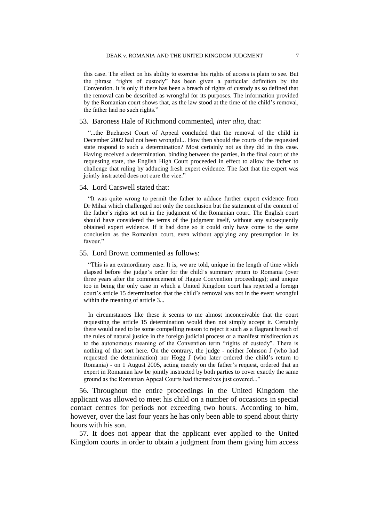this case. The effect on his ability to exercise his rights of access is plain to see. But the phrase "rights of custody" has been given a particular definition by the Convention. It is only if there has been a breach of rights of custody as so defined that the removal can be described as wrongful for its purposes. The information provided by the Romanian court shows that, as the law stood at the time of the child's removal, the father had no such rights."

## 53. Baroness Hale of Richmond commented, *inter alia*, that:

"...the Bucharest Court of Appeal concluded that the removal of the child in December 2002 had not been wrongful... How then should the courts of the requested state respond to such a determination? Most certainly not as they did in this case. Having received a determination, binding between the parties, in the final court of the requesting state, the English High Court proceeded in effect to allow the father to challenge that ruling by adducing fresh expert evidence. The fact that the expert was jointly instructed does not cure the vice."

#### 54. Lord Carswell stated that:

"It was quite wrong to permit the father to adduce further expert evidence from Dr Mihai which challenged not only the conclusion but the statement of the content of the father's rights set out in the judgment of the Romanian court. The English court should have considered the terms of the judgment itself, without any subsequently obtained expert evidence. If it had done so it could only have come to the same conclusion as the Romanian court, even without applying any presumption in its favour."

#### 55. Lord Brown commented as follows:

"This is an extraordinary case. It is, we are told, unique in the length of time which elapsed before the judge's order for the child's summary return to Romania (over three years after the commencement of Hague Convention proceedings); and unique too in being the only case in which a United Kingdom court has rejected a foreign court's article 15 determination that the child's removal was not in the event wrongful within the meaning of article 3...

In circumstances like these it seems to me almost inconceivable that the court requesting the article 15 determination would then not simply accept it. Certainly there would need to be some compelling reason to reject it such as a flagrant breach of the rules of natural justice in the foreign judicial process or a manifest misdirection as to the autonomous meaning of the Convention term "rights of custody". There is nothing of that sort here. On the contrary, the judge - neither Johnson J (who had requested the determination) nor Hogg J (who later ordered the child's return to Romania) - on 1 August 2005, acting merely on the father's request, ordered that an expert in Romanian law be jointly instructed by both parties to cover exactly the same ground as the Romanian Appeal Courts had themselves just covered..."

56. Throughout the entire proceedings in the United Kingdom the applicant was allowed to meet his child on a number of occasions in special contact centres for periods not exceeding two hours. According to him, however, over the last four years he has only been able to spend about thirty hours with his son.

57. It does not appear that the applicant ever applied to the United Kingdom courts in order to obtain a judgment from them giving him access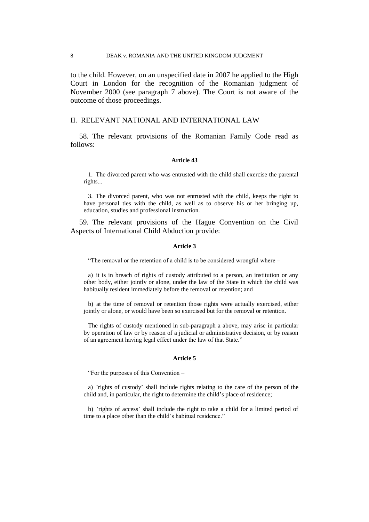#### 8 DEAK v. ROMANIA AND THE UNITED KINGDOM JUDGMENT

to the child. However, on an unspecified date in 2007 he applied to the High Court in London for the recognition of the Romanian judgment of November 2000 (see paragraph 7 above). The Court is not aware of the outcome of those proceedings.

### II. RELEVANT NATIONAL AND INTERNATIONAL LAW

58. The relevant provisions of the Romanian Family Code read as follows:

#### **Article 43**

1. The divorced parent who was entrusted with the child shall exercise the parental rights...

3. The divorced parent, who was not entrusted with the child, keeps the right to have personal ties with the child, as well as to observe his or her bringing up, education, studies and professional instruction.

59. The relevant provisions of the Hague Convention on the Civil Aspects of International Child Abduction provide:

#### **Article 3**

"The removal or the retention of a child is to be considered wrongful where –

a) it is in breach of rights of custody attributed to a person, an institution or any other body, either jointly or alone, under the law of the State in which the child was habitually resident immediately before the removal or retention; and

b) at the time of removal or retention those rights were actually exercised, either jointly or alone, or would have been so exercised but for the removal or retention.

The rights of custody mentioned in sub-paragraph a above, may arise in particular by operation of law or by reason of a judicial or administrative decision, or by reason of an agreement having legal effect under the law of that State."

#### **Article 5**

"For the purposes of this Convention –

a) 'rights of custody' shall include rights relating to the care of the person of the child and, in particular, the right to determine the child's place of residence;

b) 'rights of access' shall include the right to take a child for a limited period of time to a place other than the child's habitual residence."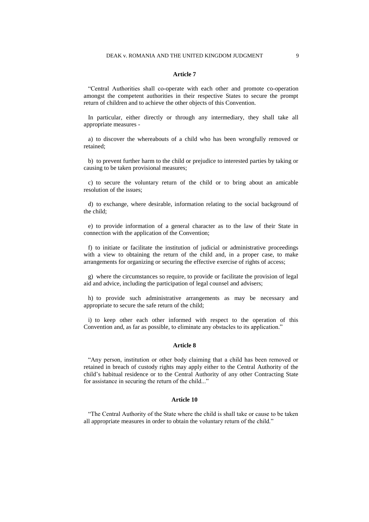#### **Article 7**

"Central Authorities shall co-operate with each other and promote co-operation amongst the competent authorities in their respective States to secure the prompt return of children and to achieve the other objects of this Convention.

In particular, either directly or through any intermediary, they shall take all appropriate measures -

a) to discover the whereabouts of a child who has been wrongfully removed or retained;

b) to prevent further harm to the child or prejudice to interested parties by taking or causing to be taken provisional measures;

c) to secure the voluntary return of the child or to bring about an amicable resolution of the issues;

d) to exchange, where desirable, information relating to the social background of the child;

e) to provide information of a general character as to the law of their State in connection with the application of the Convention;

f) to initiate or facilitate the institution of judicial or administrative proceedings with a view to obtaining the return of the child and, in a proper case, to make arrangements for organizing or securing the effective exercise of rights of access;

g) where the circumstances so require, to provide or facilitate the provision of legal aid and advice, including the participation of legal counsel and advisers;

h) to provide such administrative arrangements as may be necessary and appropriate to secure the safe return of the child;

i) to keep other each other informed with respect to the operation of this Convention and, as far as possible, to eliminate any obstacles to its application."

#### **Article 8**

"Any person, institution or other body claiming that a child has been removed or retained in breach of custody rights may apply either to the Central Authority of the child's habitual residence or to the Central Authority of any other Contracting State for assistance in securing the return of the child..."

#### **Article 10**

"The Central Authority of the State where the child is shall take or cause to be taken all appropriate measures in order to obtain the voluntary return of the child."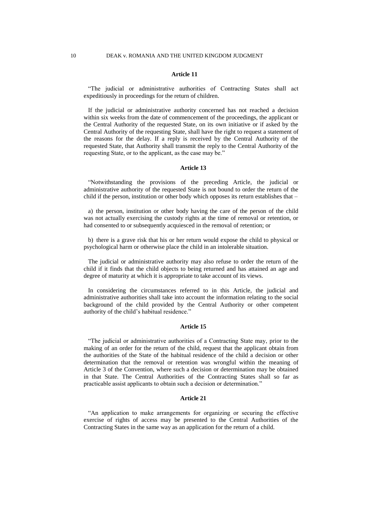#### **Article 11**

"The judicial or administrative authorities of Contracting States shall act expeditiously in proceedings for the return of children.

If the judicial or administrative authority concerned has not reached a decision within six weeks from the date of commencement of the proceedings, the applicant or the Central Authority of the requested State, on its own initiative or if asked by the Central Authority of the requesting State, shall have the right to request a statement of the reasons for the delay. If a reply is received by the Central Authority of the requested State, that Authority shall transmit the reply to the Central Authority of the requesting State, or to the applicant, as the case may be."

#### **Article 13**

"Notwithstanding the provisions of the preceding Article, the judicial or administrative authority of the requested State is not bound to order the return of the child if the person, institution or other body which opposes its return establishes that –

a) the person, institution or other body having the care of the person of the child was not actually exercising the custody rights at the time of removal or retention, or had consented to or subsequently acquiesced in the removal of retention; or

b) there is a grave risk that his or her return would expose the child to physical or psychological harm or otherwise place the child in an intolerable situation.

The judicial or administrative authority may also refuse to order the return of the child if it finds that the child objects to being returned and has attained an age and degree of maturity at which it is appropriate to take account of its views.

In considering the circumstances referred to in this Article, the judicial and administrative authorities shall take into account the information relating to the social background of the child provided by the Central Authority or other competent authority of the child's habitual residence."

#### **Article 15**

"The judicial or administrative authorities of a Contracting State may, prior to the making of an order for the return of the child, request that the applicant obtain from the authorities of the State of the habitual residence of the child a decision or other determination that the removal or retention was wrongful within the meaning of Article 3 of the Convention, where such a decision or determination may be obtained in that State. The Central Authorities of the Contracting States shall so far as practicable assist applicants to obtain such a decision or determination."

#### **Article 21**

"An application to make arrangements for organizing or securing the effective exercise of rights of access may be presented to the Central Authorities of the Contracting States in the same way as an application for the return of a child.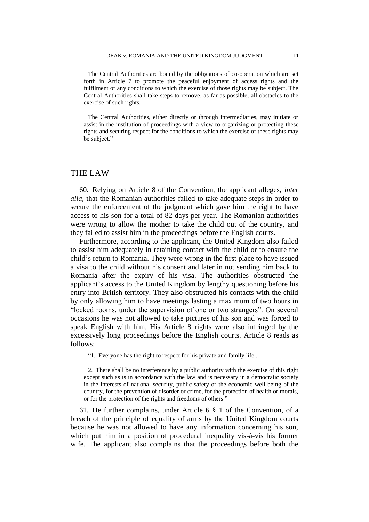The Central Authorities are bound by the obligations of co-operation which are set forth in Article 7 to promote the peaceful enjoyment of access rights and the fulfilment of any conditions to which the exercise of those rights may be subject. The Central Authorities shall take steps to remove, as far as possible, all obstacles to the exercise of such rights.

The Central Authorities, either directly or through intermediaries, may initiate or assist in the institution of proceedings with a view to organizing or protecting these rights and securing respect for the conditions to which the exercise of these rights may be subject."

## THE LAW

60. Relying on Article 8 of the Convention, the applicant alleges, *inter alia*, that the Romanian authorities failed to take adequate steps in order to secure the enforcement of the judgment which gave him the right to have access to his son for a total of 82 days per year. The Romanian authorities were wrong to allow the mother to take the child out of the country, and they failed to assist him in the proceedings before the English courts.

Furthermore, according to the applicant, the United Kingdom also failed to assist him adequately in retaining contact with the child or to ensure the child's return to Romania. They were wrong in the first place to have issued a visa to the child without his consent and later in not sending him back to Romania after the expiry of his visa. The authorities obstructed the applicant's access to the United Kingdom by lengthy questioning before his entry into British territory. They also obstructed his contacts with the child by only allowing him to have meetings lasting a maximum of two hours in "locked rooms, under the supervision of one or two strangers". On several occasions he was not allowed to take pictures of his son and was forced to speak English with him. His Article 8 rights were also infringed by the excessively long proceedings before the English courts. Article 8 reads as follows:

"1. Everyone has the right to respect for his private and family life...

2. There shall be no interference by a public authority with the exercise of this right except such as is in accordance with the law and is necessary in a democratic society in the interests of national security, public safety or the economic well-being of the country, for the prevention of disorder or crime, for the protection of health or morals, or for the protection of the rights and freedoms of others."

61. He further complains, under Article 6 § 1 of the Convention, of a breach of the principle of equality of arms by the United Kingdom courts because he was not allowed to have any information concerning his son, which put him in a position of procedural inequality vis-à-vis his former wife. The applicant also complains that the proceedings before both the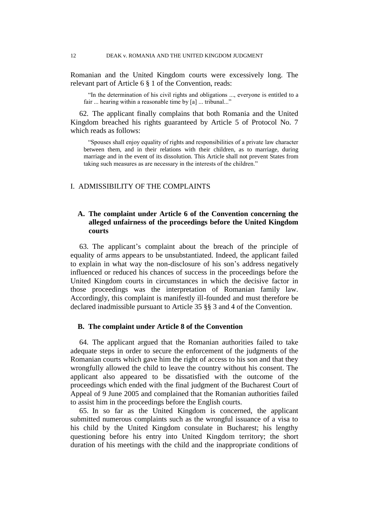Romanian and the United Kingdom courts were excessively long. The relevant part of Article 6 § 1 of the Convention, reads:

"In the determination of his civil rights and obligations ..., everyone is entitled to a fair ... hearing within a reasonable time by [a] ... tribunal..."

62. The applicant finally complains that both Romania and the United Kingdom breached his rights guaranteed by Article 5 of Protocol No. 7 which reads as follows:

"Spouses shall enjoy equality of rights and responsibilities of a private law character between them, and in their relations with their children, as to marriage, during marriage and in the event of its dissolution. This Article shall not prevent States from taking such measures as are necessary in the interests of the children."

## I. ADMISSIBILITY OF THE COMPLAINTS

## **A. The complaint under Article 6 of the Convention concerning the alleged unfairness of the proceedings before the United Kingdom courts**

63. The applicant's complaint about the breach of the principle of equality of arms appears to be unsubstantiated. Indeed, the applicant failed to explain in what way the non-disclosure of his son's address negatively influenced or reduced his chances of success in the proceedings before the United Kingdom courts in circumstances in which the decisive factor in those proceedings was the interpretation of Romanian family law. Accordingly, this complaint is manifestly ill-founded and must therefore be declared inadmissible pursuant to Article 35 §§ 3 and 4 of the Convention.

#### **B. The complaint under Article 8 of the Convention**

64. The applicant argued that the Romanian authorities failed to take adequate steps in order to secure the enforcement of the judgments of the Romanian courts which gave him the right of access to his son and that they wrongfully allowed the child to leave the country without his consent. The applicant also appeared to be dissatisfied with the outcome of the proceedings which ended with the final judgment of the Bucharest Court of Appeal of 9 June 2005 and complained that the Romanian authorities failed to assist him in the proceedings before the English courts.

65. In so far as the United Kingdom is concerned, the applicant submitted numerous complaints such as the wrongful issuance of a visa to his child by the United Kingdom consulate in Bucharest; his lengthy questioning before his entry into United Kingdom territory; the short duration of his meetings with the child and the inappropriate conditions of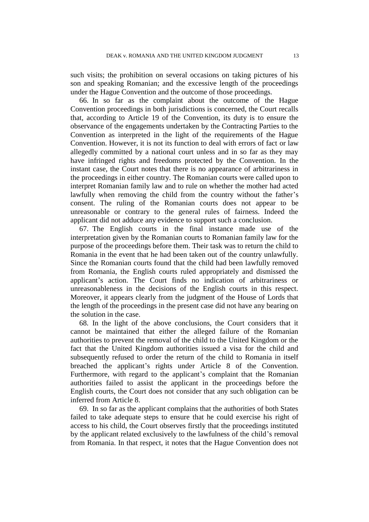such visits; the prohibition on several occasions on taking pictures of his son and speaking Romanian; and the excessive length of the proceedings under the Hague Convention and the outcome of those proceedings.

66. In so far as the complaint about the outcome of the Hague Convention proceedings in both jurisdictions is concerned, the Court recalls that, according to Article 19 of the Convention, its duty is to ensure the observance of the engagements undertaken by the Contracting Parties to the Convention as interpreted in the light of the requirements of the Hague Convention. However, it is not its function to deal with errors of fact or law allegedly committed by a national court unless and in so far as they may have infringed rights and freedoms protected by the Convention. In the instant case, the Court notes that there is no appearance of arbitrariness in the proceedings in either country. The Romanian courts were called upon to interpret Romanian family law and to rule on whether the mother had acted lawfully when removing the child from the country without the father's consent. The ruling of the Romanian courts does not appear to be unreasonable or contrary to the general rules of fairness. Indeed the applicant did not adduce any evidence to support such a conclusion.

67. The English courts in the final instance made use of the interpretation given by the Romanian courts to Romanian family law for the purpose of the proceedings before them. Their task was to return the child to Romania in the event that he had been taken out of the country unlawfully. Since the Romanian courts found that the child had been lawfully removed from Romania, the English courts ruled appropriately and dismissed the applicant's action. The Court finds no indication of arbitrariness or unreasonableness in the decisions of the English courts in this respect. Moreover, it appears clearly from the judgment of the House of Lords that the length of the proceedings in the present case did not have any bearing on the solution in the case.

68. In the light of the above conclusions, the Court considers that it cannot be maintained that either the alleged failure of the Romanian authorities to prevent the removal of the child to the United Kingdom or the fact that the United Kingdom authorities issued a visa for the child and subsequently refused to order the return of the child to Romania in itself breached the applicant's rights under Article 8 of the Convention. Furthermore, with regard to the applicant's complaint that the Romanian authorities failed to assist the applicant in the proceedings before the English courts, the Court does not consider that any such obligation can be inferred from Article 8.

69. In so far as the applicant complains that the authorities of both States failed to take adequate steps to ensure that he could exercise his right of access to his child, the Court observes firstly that the proceedings instituted by the applicant related exclusively to the lawfulness of the child's removal from Romania. In that respect, it notes that the Hague Convention does not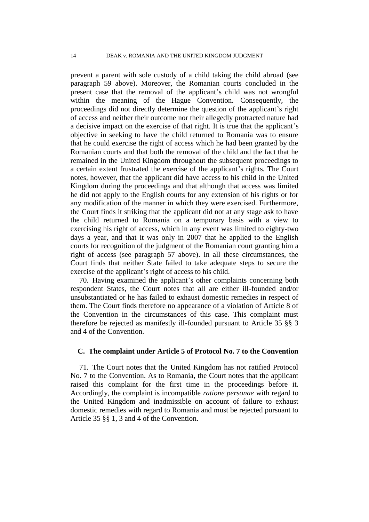prevent a parent with sole custody of a child taking the child abroad (see paragraph 59 above). Moreover, the Romanian courts concluded in the present case that the removal of the applicant's child was not wrongful within the meaning of the Hague Convention. Consequently, the proceedings did not directly determine the question of the applicant's right of access and neither their outcome nor their allegedly protracted nature had a decisive impact on the exercise of that right. It is true that the applicant's objective in seeking to have the child returned to Romania was to ensure that he could exercise the right of access which he had been granted by the Romanian courts and that both the removal of the child and the fact that he remained in the United Kingdom throughout the subsequent proceedings to a certain extent frustrated the exercise of the applicant's rights. The Court notes, however, that the applicant did have access to his child in the United Kingdom during the proceedings and that although that access was limited he did not apply to the English courts for any extension of his rights or for any modification of the manner in which they were exercised. Furthermore, the Court finds it striking that the applicant did not at any stage ask to have the child returned to Romania on a temporary basis with a view to exercising his right of access, which in any event was limited to eighty-two days a year, and that it was only in 2007 that he applied to the English courts for recognition of the judgment of the Romanian court granting him a right of access (see paragraph 57 above). In all these circumstances, the Court finds that neither State failed to take adequate steps to secure the exercise of the applicant's right of access to his child.

70. Having examined the applicant's other complaints concerning both respondent States, the Court notes that all are either ill-founded and/or unsubstantiated or he has failed to exhaust domestic remedies in respect of them. The Court finds therefore no appearance of a violation of Article 8 of the Convention in the circumstances of this case. This complaint must therefore be rejected as manifestly ill-founded pursuant to Article 35 §§ 3 and 4 of the Convention.

## **C. The complaint under Article 5 of Protocol No. 7 to the Convention**

71. The Court notes that the United Kingdom has not ratified Protocol No. 7 to the Convention. As to Romania, the Court notes that the applicant raised this complaint for the first time in the proceedings before it. Accordingly, the complaint is incompatible *ratione personae* with regard to the United Kingdom and inadmissible on account of failure to exhaust domestic remedies with regard to Romania and must be rejected pursuant to Article 35 §§ 1, 3 and 4 of the Convention.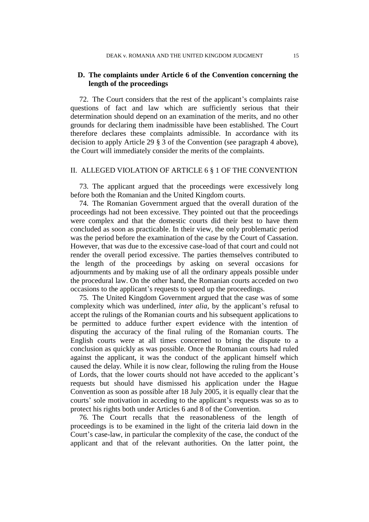## **D. The complaints under Article 6 of the Convention concerning the length of the proceedings**

72. The Court considers that the rest of the applicant's complaints raise questions of fact and law which are sufficiently serious that their determination should depend on an examination of the merits, and no other grounds for declaring them inadmissible have been established. The Court therefore declares these complaints admissible. In accordance with its decision to apply Article 29 § 3 of the Convention (see paragraph 4 above), the Court will immediately consider the merits of the complaints.

## II. ALLEGED VIOLATION OF ARTICLE 6 § 1 OF THE CONVENTION

73. The applicant argued that the proceedings were excessively long before both the Romanian and the United Kingdom courts.

74. The Romanian Government argued that the overall duration of the proceedings had not been excessive. They pointed out that the proceedings were complex and that the domestic courts did their best to have them concluded as soon as practicable. In their view, the only problematic period was the period before the examination of the case by the Court of Cassation. However, that was due to the excessive case-load of that court and could not render the overall period excessive. The parties themselves contributed to the length of the proceedings by asking on several occasions for adjournments and by making use of all the ordinary appeals possible under the procedural law. On the other hand, the Romanian courts acceded on two occasions to the applicant's requests to speed up the proceedings.

75. The United Kingdom Government argued that the case was of some complexity which was underlined, *inter alia*, by the applicant's refusal to accept the rulings of the Romanian courts and his subsequent applications to be permitted to adduce further expert evidence with the intention of disputing the accuracy of the final ruling of the Romanian courts. The English courts were at all times concerned to bring the dispute to a conclusion as quickly as was possible. Once the Romanian courts had ruled against the applicant, it was the conduct of the applicant himself which caused the delay. While it is now clear, following the ruling from the House of Lords, that the lower courts should not have acceded to the applicant's requests but should have dismissed his application under the Hague Convention as soon as possible after 18 July 2005, it is equally clear that the courts' sole motivation in acceding to the applicant's requests was so as to protect his rights both under Articles 6 and 8 of the Convention.

76. The Court recalls that the reasonableness of the length of proceedings is to be examined in the light of the criteria laid down in the Court's case-law, in particular the complexity of the case, the conduct of the applicant and that of the relevant authorities. On the latter point, the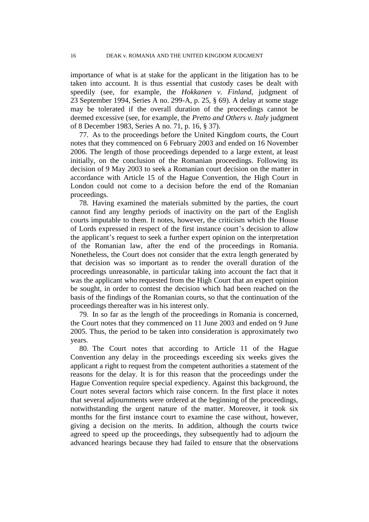importance of what is at stake for the applicant in the litigation has to be taken into account. It is thus essential that custody cases be dealt with speedily (see, for example, the *Hokkanen v. Finland*, judgment of 23 September 1994, Series A no. 299-A, p. 25, § 69). A delay at some stage may be tolerated if the overall duration of the proceedings cannot be deemed excessive (see, for example, the *Pretto and Others v. Italy* judgment of 8 December 1983, Series A no. 71, p. 16, § 37).

77. As to the proceedings before the United Kingdom courts, the Court notes that they commenced on 6 February 2003 and ended on 16 November 2006. The length of those proceedings depended to a large extent, at least initially, on the conclusion of the Romanian proceedings. Following its decision of 9 May 2003 to seek a Romanian court decision on the matter in accordance with Article 15 of the Hague Convention, the High Court in London could not come to a decision before the end of the Romanian proceedings.

78. Having examined the materials submitted by the parties, the court cannot find any lengthy periods of inactivity on the part of the English courts imputable to them. It notes, however, the criticism which the House of Lords expressed in respect of the first instance court's decision to allow the applicant's request to seek a further expert opinion on the interpretation of the Romanian law, after the end of the proceedings in Romania. Nonetheless, the Court does not consider that the extra length generated by that decision was so important as to render the overall duration of the proceedings unreasonable, in particular taking into account the fact that it was the applicant who requested from the High Court that an expert opinion be sought, in order to contest the decision which had been reached on the basis of the findings of the Romanian courts, so that the continuation of the proceedings thereafter was in his interest only.

79. In so far as the length of the proceedings in Romania is concerned, the Court notes that they commenced on 11 June 2003 and ended on 9 June 2005. Thus, the period to be taken into consideration is approximately two years.

80. The Court notes that according to Article 11 of the Hague Convention any delay in the proceedings exceeding six weeks gives the applicant a right to request from the competent authorities a statement of the reasons for the delay. It is for this reason that the proceedings under the Hague Convention require special expediency. Against this background, the Court notes several factors which raise concern. In the first place it notes that several adjournments were ordered at the beginning of the proceedings, notwithstanding the urgent nature of the matter. Moreover, it took six months for the first instance court to examine the case without, however, giving a decision on the merits. In addition, although the courts twice agreed to speed up the proceedings, they subsequently had to adjourn the advanced hearings because they had failed to ensure that the observations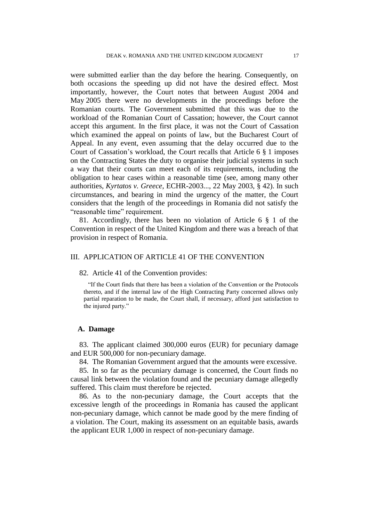were submitted earlier than the day before the hearing. Consequently, on both occasions the speeding up did not have the desired effect. Most importantly, however, the Court notes that between August 2004 and May 2005 there were no developments in the proceedings before the Romanian courts. The Government submitted that this was due to the workload of the Romanian Court of Cassation; however, the Court cannot accept this argument. In the first place, it was not the Court of Cassation which examined the appeal on points of law, but the Bucharest Court of Appeal. In any event, even assuming that the delay occurred due to the Court of Cassation's workload, the Court recalls that Article 6 § 1 imposes on the Contracting States the duty to organise their judicial systems in such a way that their courts can meet each of its requirements, including the obligation to hear cases within a reasonable time (see, among many other authorities, *Kyrtatos v. Greece*, ECHR-2003..., 22 May 2003, § 42). In such circumstances, and bearing in mind the urgency of the matter, the Court considers that the length of the proceedings in Romania did not satisfy the "reasonable time" requirement.

81. Accordingly, there has been no violation of Article 6 § 1 of the Convention in respect of the United Kingdom and there was a breach of that provision in respect of Romania.

## III. APPLICATION OF ARTICLE 41 OF THE CONVENTION

82. Article 41 of the Convention provides:

"If the Court finds that there has been a violation of the Convention or the Protocols thereto, and if the internal law of the High Contracting Party concerned allows only partial reparation to be made, the Court shall, if necessary, afford just satisfaction to the injured party."

## **A. Damage**

83. The applicant claimed 300,000 euros (EUR) for pecuniary damage and EUR 500,000 for non-pecuniary damage.

84. The Romanian Government argued that the amounts were excessive.

85. In so far as the pecuniary damage is concerned, the Court finds no causal link between the violation found and the pecuniary damage allegedly suffered. This claim must therefore be rejected.

86. As to the non-pecuniary damage, the Court accepts that the excessive length of the proceedings in Romania has caused the applicant non-pecuniary damage, which cannot be made good by the mere finding of a violation. The Court, making its assessment on an equitable basis, awards the applicant EUR 1,000 in respect of non-pecuniary damage.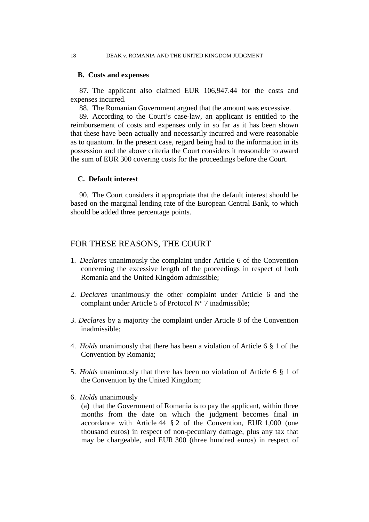#### **B. Costs and expenses**

87. The applicant also claimed EUR 106,947.44 for the costs and expenses incurred.

88. The Romanian Government argued that the amount was excessive.

89. According to the Court's case-law, an applicant is entitled to the reimbursement of costs and expenses only in so far as it has been shown that these have been actually and necessarily incurred and were reasonable as to quantum. In the present case, regard being had to the information in its possession and the above criteria the Court considers it reasonable to award the sum of EUR 300 covering costs for the proceedings before the Court.

## **C. Default interest**

90. The Court considers it appropriate that the default interest should be based on the marginal lending rate of the European Central Bank, to which should be added three percentage points.

## FOR THESE REASONS, THE COURT

- 1. *Declares* unanimously the complaint under Article 6 of the Convention concerning the excessive length of the proceedings in respect of both Romania and the United Kingdom admissible;
- 2. *Declares* unanimously the other complaint under Article 6 and the complaint under Article 5 of Protocol  $N^{\circ}$  7 inadmissible;
- 3. *Declares* by a majority the complaint under Article 8 of the Convention inadmissible;
- 4. *Holds* unanimously that there has been a violation of Article 6 § 1 of the Convention by Romania;
- 5. *Holds* unanimously that there has been no violation of Article 6 § 1 of the Convention by the United Kingdom;
- 6. *Holds* unanimously

(a) that the Government of Romania is to pay the applicant, within three months from the date on which the judgment becomes final in accordance with Article 44 § 2 of the Convention, EUR 1,000 (one thousand euros) in respect of non-pecuniary damage, plus any tax that may be chargeable, and EUR 300 (three hundred euros) in respect of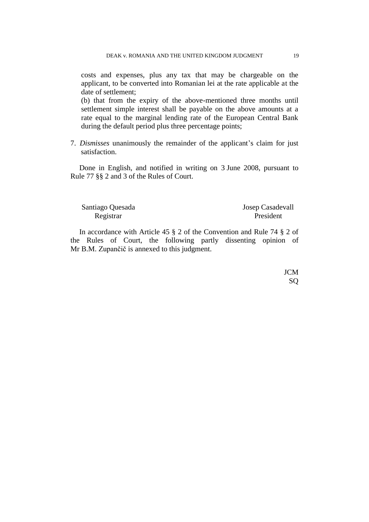costs and expenses, plus any tax that may be chargeable on the applicant, to be converted into Romanian lei at the rate applicable at the date of settlement;

(b) that from the expiry of the above-mentioned three months until settlement simple interest shall be payable on the above amounts at a rate equal to the marginal lending rate of the European Central Bank during the default period plus three percentage points;

7. *Dismisses* unanimously the remainder of the applicant's claim for just satisfaction.

Done in English, and notified in writing on 3 June 2008, pursuant to Rule 77 §§ 2 and 3 of the Rules of Court.

Santiago Quesada Josep Casadevall Registrar President

In accordance with Article 45 § 2 of the Convention and Rule 74 § 2 of the Rules of Court, the following partly dissenting opinion of Mr B.M. Zupančič is annexed to this judgment.

> JCM SQ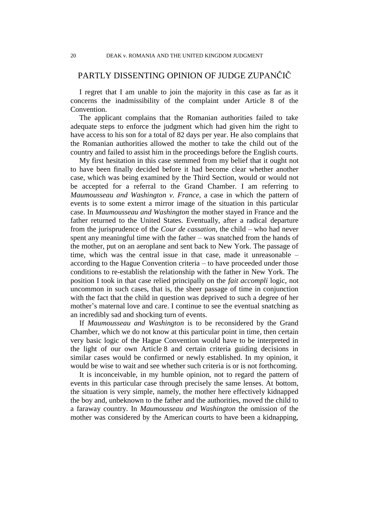## PARTLY DISSENTING OPINION OF JUDGE ZUPANČIČ

I regret that I am unable to join the majority in this case as far as it concerns the inadmissibility of the complaint under Article 8 of the Convention.

The applicant complains that the Romanian authorities failed to take adequate steps to enforce the judgment which had given him the right to have access to his son for a total of 82 days per year. He also complains that the Romanian authorities allowed the mother to take the child out of the country and failed to assist him in the proceedings before the English courts.

My first hesitation in this case stemmed from my belief that it ought not to have been finally decided before it had become clear whether another case, which was being examined by the Third Section, would or would not be accepted for a referral to the Grand Chamber. I am referring to *Maumousseau and Washington v. France*, a case in which the pattern of events is to some extent a mirror image of the situation in this particular case. In *Maumousseau and Washington* the mother stayed in France and the father returned to the United States. Eventually, after a radical departure from the jurisprudence of the *Cour de cassation*, the child – who had never spent any meaningful time with the father – was snatched from the hands of the mother, put on an aeroplane and sent back to New York. The passage of time, which was the central issue in that case, made it unreasonable – according to the Hague Convention criteria – to have proceeded under those conditions to re-establish the relationship with the father in New York. The position I took in that case relied principally on the *fait accompli* logic, not uncommon in such cases, that is, the sheer passage of time in conjunction with the fact that the child in question was deprived to such a degree of her mother's maternal love and care. I continue to see the eventual snatching as an incredibly sad and shocking turn of events.

If *Maumousseau and Washington* is to be reconsidered by the Grand Chamber, which we do not know at this particular point in time, then certain very basic logic of the Hague Convention would have to be interpreted in the light of our own Article 8 and certain criteria guiding decisions in similar cases would be confirmed or newly established. In my opinion, it would be wise to wait and see whether such criteria is or is not forthcoming.

It is inconceivable, in my humble opinion, not to regard the pattern of events in this particular case through precisely the same lenses. At bottom, the situation is very simple, namely, the mother here effectively kidnapped the boy and, unbeknown to the father and the authorities, moved the child to a faraway country. In *Maumousseau and Washington* the omission of the mother was considered by the American courts to have been a kidnapping,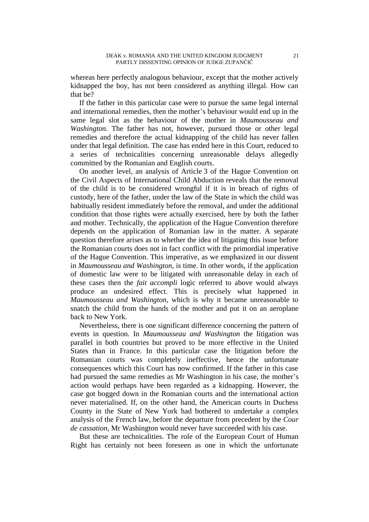whereas here perfectly analogous behaviour, except that the mother actively kidnapped the boy, has not been considered as anything illegal. How can that be?

If the father in this particular case were to pursue the same legal internal and international remedies, then the mother's behaviour would end up in the same legal slot as the behaviour of the mother in *Maumousseau and Washington*. The father has not, however, pursued those or other legal remedies and therefore the actual kidnapping of the child has never fallen under that legal definition. The case has ended here in this Court, reduced to a series of technicalities concerning unreasonable delays allegedly committed by the Romanian and English courts.

On another level, an analysis of Article 3 of the Hague Convention on the Civil Aspects of International Child Abduction reveals that the removal of the child is to be considered wrongful if it is in breach of rights of custody, here of the father, under the law of the State in which the child was habitually resident immediately before the removal, and under the additional condition that those rights were actually exercised, here by both the father and mother. Technically, the application of the Hague Convention therefore depends on the application of Romanian law in the matter. A separate question therefore arises as to whether the idea of litigating this issue before the Romanian courts does not in fact conflict with the primordial imperative of the Hague Convention. This imperative, as we emphasized in our dissent in *Maumousseau and Washington*, is time. In other words, if the application of domestic law were to be litigated with unreasonable delay in each of these cases then the *fait accompli* logic referred to above would always produce an undesired effect. This is precisely what happened in *Maumousseau and Washington,* which is why it became unreasonable to snatch the child from the hands of the mother and put it on an aeroplane back to New York.

Nevertheless, there is one significant difference concerning the pattern of events in question. In *Maumousseau and Washington* the litigation was parallel in both countries but proved to be more effective in the United States than in France. In this particular case the litigation before the Romanian courts was completely ineffective, hence the unfortunate consequences which this Court has now confirmed. If the father in this case had pursued the same remedies as Mr Washington in his case, the mother's action would perhaps have been regarded as a kidnapping. However, the case got bogged down in the Romanian courts and the international action never materialised. If, on the other hand, the American courts in Duchess County in the State of New York had bothered to undertake a complex analysis of the French law, before the departure from precedent by the *Cour de cassation,* Mr Washington would never have succeeded with his case.

But these are technicalities. The role of the European Court of Human Right has certainly not been foreseen as one in which the unfortunate